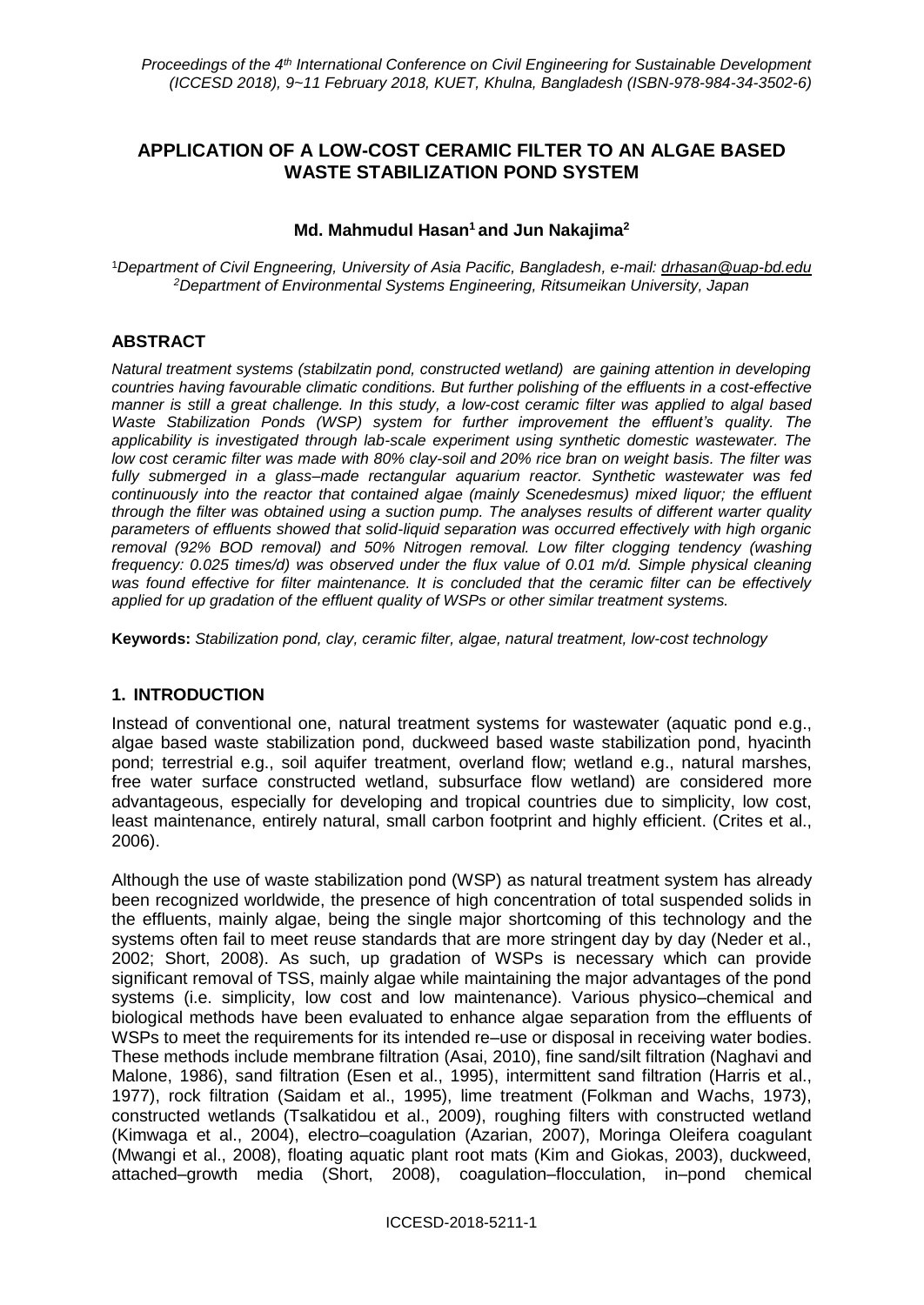# **APPLICATION OF A LOW-COST CERAMIC FILTER TO AN ALGAE BASED WASTE STABILIZATION POND SYSTEM**

### **Md. Mahmudul Hasan<sup>1</sup> and Jun Nakajima<sup>2</sup>**

<sup>1</sup>*Department of Civil Engneering, University of Asia Pacific, Bangladesh, e-mail: drhasan@uap-bd.edu <sup>2</sup>Department of Environmental Systems Engineering, Ritsumeikan University, Japan*

## **ABSTRACT**

*Natural treatment systems (stabilzatin pond, constructed wetland) are gaining attention in developing countries having favourable climatic conditions. But further polishing of the effluents in a cost-effective manner is still a great challenge. In this study, a low-cost ceramic filter was applied to algal based Waste Stabilization Ponds (WSP) system for further improvement the effluent's quality. The applicability is investigated through lab-scale experiment using synthetic domestic wastewater. The low cost ceramic filter was made with 80% clay-soil and 20% rice bran on weight basis. The filter was fully submerged in a glass–made rectangular aquarium reactor. Synthetic wastewater was fed continuously into the reactor that contained algae (mainly Scenedesmus) mixed liquor; the effluent through the filter was obtained using a suction pump. The analyses results of different warter quality parameters of effluents showed that solid-liquid separation was occurred effectively with high organic removal (92% BOD removal) and 50% Nitrogen removal. Low filter clogging tendency (washing frequency: 0.025 times/d) was observed under the flux value of 0.01 m/d. Simple physical cleaning was found effective for filter maintenance. It is concluded that the ceramic filter can be effectively applied for up gradation of the effluent quality of WSPs or other similar treatment systems.* 

**Keywords:** *Stabilization pond, clay, ceramic filter, algae, natural treatment, low-cost technology*

### **1. INTRODUCTION**

Instead of conventional one, natural treatment systems for wastewater (aquatic pond e.g., algae based waste stabilization pond, duckweed based waste stabilization pond, hyacinth pond; terrestrial e.g., soil aquifer treatment, overland flow; wetland e.g., natural marshes, free water surface constructed wetland, subsurface flow wetland) are considered more advantageous, especially for developing and tropical countries due to simplicity, low cost, least maintenance, entirely natural, small carbon footprint and highly efficient. (Crites et al., 2006).

Although the use of waste stabilization pond (WSP) as natural treatment system has already been recognized worldwide, the presence of high concentration of total suspended solids in the effluents, mainly algae, being the single major shortcoming of this technology and the systems often fail to meet reuse standards that are more stringent day by day (Neder et al., 2002; Short, 2008). As such, up gradation of WSPs is necessary which can provide significant removal of TSS, mainly algae while maintaining the major advantages of the pond systems (i.e. simplicity, low cost and low maintenance). Various physico–chemical and biological methods have been evaluated to enhance algae separation from the effluents of WSPs to meet the requirements for its intended re–use or disposal in receiving water bodies. These methods include membrane filtration (Asai, 2010), fine sand/silt filtration (Naghavi and Malone, 1986), sand filtration (Esen et al., 1995), intermittent sand filtration (Harris et al., 1977), rock filtration (Saidam et al., 1995), lime treatment (Folkman and Wachs, 1973), constructed wetlands (Tsalkatidou et al., 2009), roughing filters with constructed wetland (Kimwaga et al., 2004), electro–coagulation (Azarian, 2007), Moringa Oleifera coagulant (Mwangi et al., 2008), floating aquatic plant root mats (Kim and Giokas, 2003), duckweed, attached–growth media (Short, 2008), coagulation–flocculation, in–pond chemical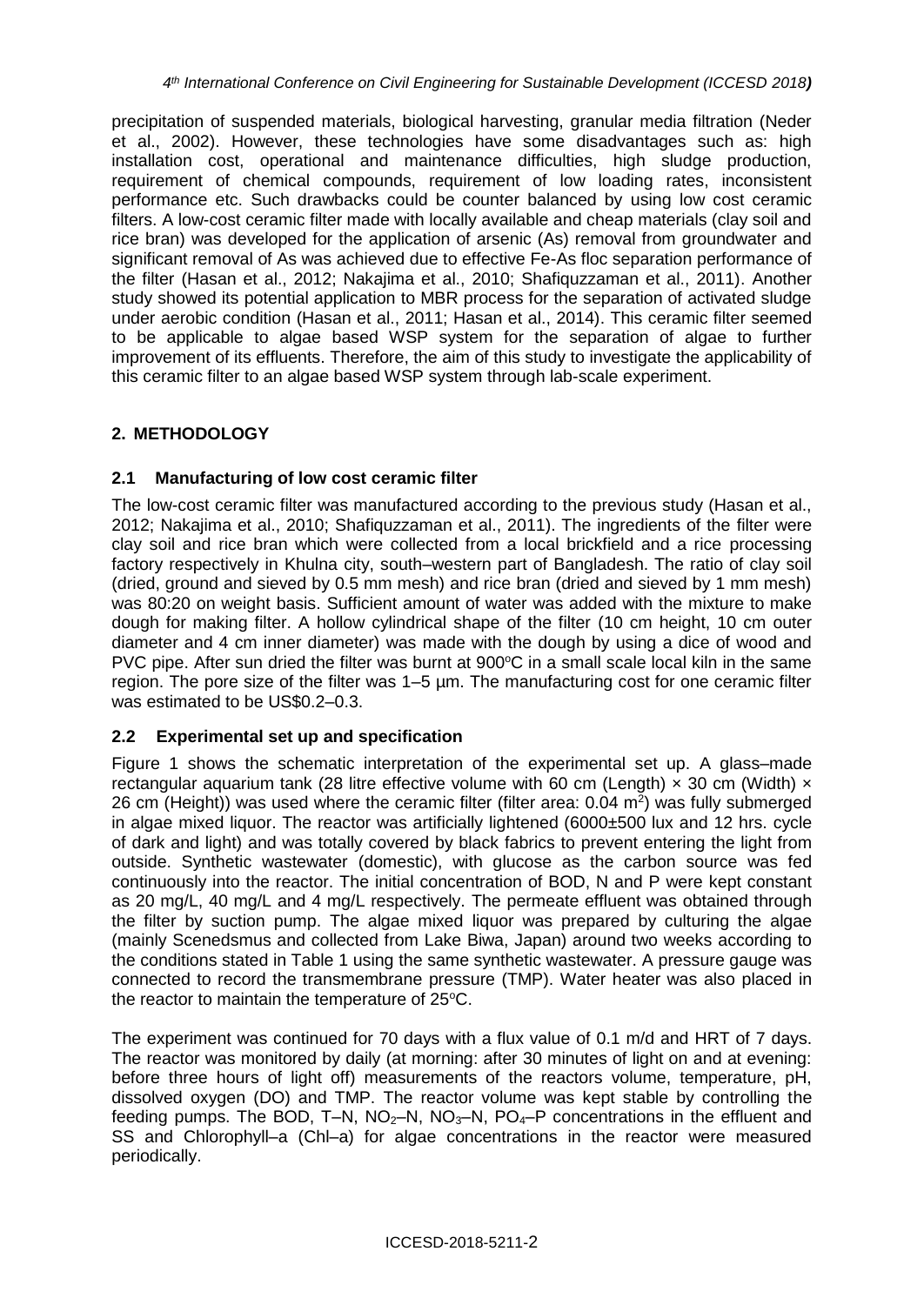precipitation of suspended materials, biological harvesting, granular media filtration (Neder et al., 2002). However, these technologies have some disadvantages such as: high installation cost, operational and maintenance difficulties, high sludge production, requirement of chemical compounds, requirement of low loading rates, inconsistent performance etc. Such drawbacks could be counter balanced by using low cost ceramic filters. A low-cost ceramic filter made with locally available and cheap materials (clay soil and rice bran) was developed for the application of arsenic (As) removal from groundwater and significant removal of As was achieved due to effective Fe-As floc separation performance of the filter (Hasan et al., 2012; Nakajima et al., 2010; Shafiquzzaman et al., 2011). Another study showed its potential application to MBR process for the separation of activated sludge under aerobic condition (Hasan et al., 2011; Hasan et al., 2014). This ceramic filter seemed to be applicable to algae based WSP system for the separation of algae to further improvement of its effluents. Therefore, the aim of this study to investigate the applicability of this ceramic filter to an algae based WSP system through lab-scale experiment.

# **2. METHODOLOGY**

## **2.1 Manufacturing of low cost ceramic filter**

The low-cost ceramic filter was manufactured according to the previous study (Hasan et al., 2012; Nakajima et al., 2010; Shafiquzzaman et al., 2011). The ingredients of the filter were clay soil and rice bran which were collected from a local brickfield and a rice processing factory respectively in Khulna city, south–western part of Bangladesh. The ratio of clay soil (dried, ground and sieved by 0.5 mm mesh) and rice bran (dried and sieved by 1 mm mesh) was 80:20 on weight basis. Sufficient amount of water was added with the mixture to make dough for making filter. A hollow cylindrical shape of the filter (10 cm height, 10 cm outer diameter and 4 cm inner diameter) was made with the dough by using a dice of wood and PVC pipe. After sun dried the filter was burnt at  $900^{\circ}$ C in a small scale local kiln in the same region. The pore size of the filter was 1–5 µm. The manufacturing cost for one ceramic filter was estimated to be US\$0.2–0.3.

# **2.2 Experimental set up and specification**

Figure 1 shows the schematic interpretation of the experimental set up. A glass–made rectangular aquarium tank (28 litre effective volume with 60 cm (Length)  $\times$  30 cm (Width)  $\times$ 26 cm (Height)) was used where the ceramic filter (filter area:  $0.04$  m<sup>2</sup>) was fully submerged in algae mixed liquor. The reactor was artificially lightened (6000±500 lux and 12 hrs. cycle of dark and light) and was totally covered by black fabrics to prevent entering the light from outside. Synthetic wastewater (domestic), with glucose as the carbon source was fed continuously into the reactor. The initial concentration of BOD, N and P were kept constant as 20 mg/L, 40 mg/L and 4 mg/L respectively. The permeate effluent was obtained through the filter by suction pump. The algae mixed liquor was prepared by culturing the algae (mainly Scenedsmus and collected from Lake Biwa, Japan) around two weeks according to the conditions stated in Table 1 using the same synthetic wastewater. A pressure gauge was connected to record the transmembrane pressure (TMP). Water heater was also placed in the reactor to maintain the temperature of  $25^{\circ}$ C.

The experiment was continued for 70 days with a flux value of 0.1 m/d and HRT of 7 days. The reactor was monitored by daily (at morning: after 30 minutes of light on and at evening: before three hours of light off) measurements of the reactors volume, temperature, pH, dissolved oxygen (DO) and TMP. The reactor volume was kept stable by controlling the feeding pumps. The BOD, T–N,  $NO<sub>2</sub>–N$ ,  $NO<sub>3</sub>–N$ ,  $PO<sub>4</sub>–P$  concentrations in the effluent and SS and Chlorophyll–a (Chl–a) for algae concentrations in the reactor were measured periodically.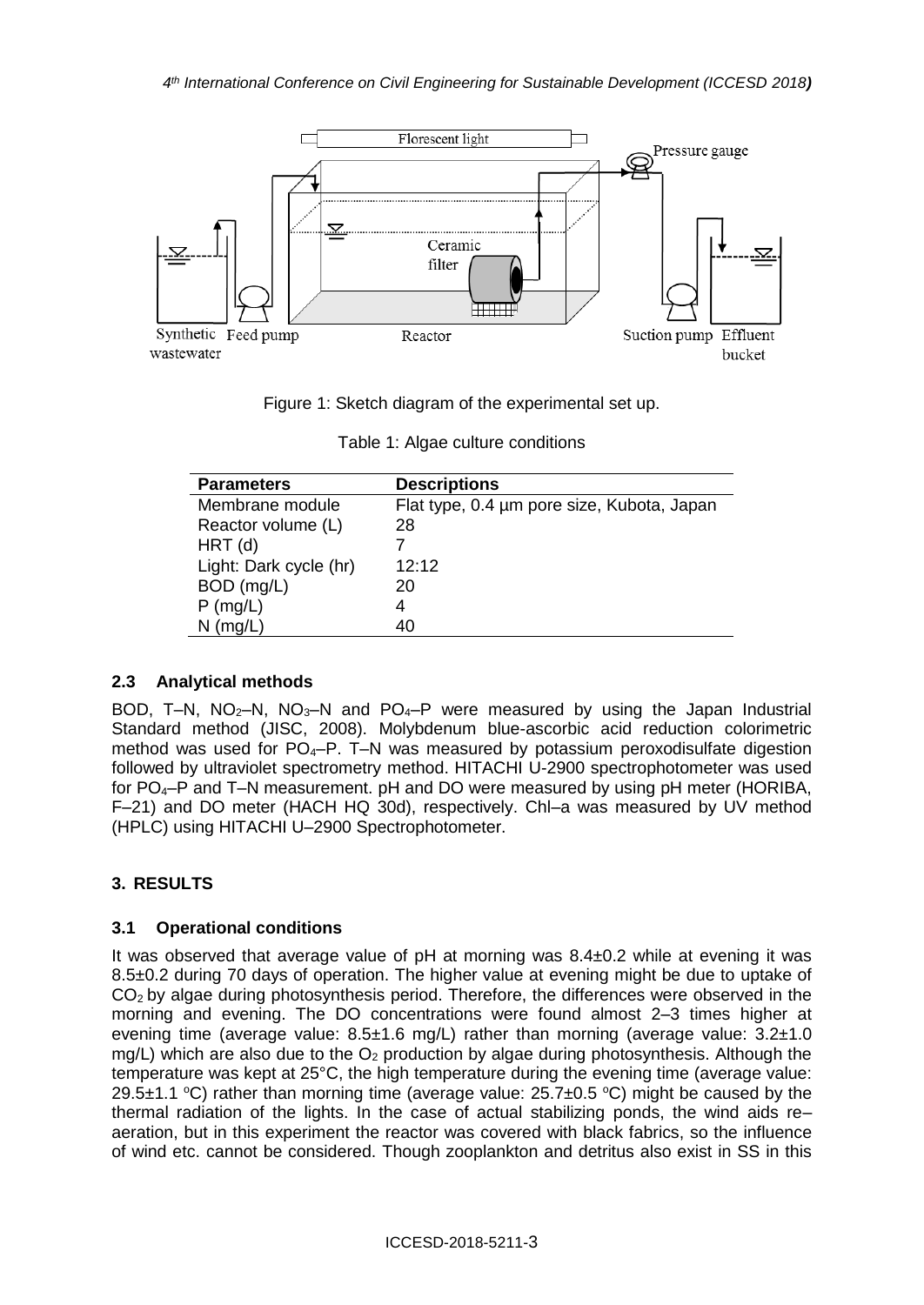

Figure 1: Sketch diagram of the experimental set up.

| Table 1: Algae culture conditions |  |
|-----------------------------------|--|
|-----------------------------------|--|

| <b>Parameters</b>      | <b>Descriptions</b>                        |
|------------------------|--------------------------------------------|
| Membrane module        | Flat type, 0.4 µm pore size, Kubota, Japan |
| Reactor volume (L)     | 28                                         |
| $HRT$ (d)              |                                            |
| Light: Dark cycle (hr) | 12.12                                      |
| BOD (mg/L)             | 20                                         |
| $P$ (mg/L)             | 4                                          |
| $N$ (mg/L)             | 40                                         |

### **2.3 Analytical methods**

BOD, T–N,  $NO<sub>2</sub>$ –N,  $NO<sub>3</sub>$ –N and  $PO<sub>4</sub>$ –P were measured by using the Japan Industrial Standard method (JISC, 2008). Molybdenum blue-ascorbic acid reduction colorimetric method was used for  $PO_4-P$ . T-N was measured by potassium peroxodisulfate digestion followed by ultraviolet spectrometry method. HITACHI U-2900 spectrophotometer was used for PO4–P and T–N measurement. pH and DO were measured by using pH meter (HORIBA, F–21) and DO meter (HACH HQ 30d), respectively. Chl–a was measured by UV method (HPLC) using HITACHI U–2900 Spectrophotometer.

### **3. RESULTS**

### **3.1 Operational conditions**

It was observed that average value of pH at morning was 8.4±0.2 while at evening it was 8.5±0.2 during 70 days of operation. The higher value at evening might be due to uptake of  $CO<sub>2</sub>$  by algae during photosynthesis period. Therefore, the differences were observed in the morning and evening. The DO concentrations were found almost 2–3 times higher at evening time (average value:  $8.5\pm1.6$  mg/L) rather than morning (average value:  $3.2\pm1.0$ mg/L) which are also due to the  $O<sub>2</sub>$  production by algae during photosynthesis. Although the temperature was kept at 25°C, the high temperature during the evening time (average value: 29.5 $\pm$ 1.1 °C) rather than morning time (average value: 25.7 $\pm$ 0.5 °C) might be caused by the thermal radiation of the lights. In the case of actual stabilizing ponds, the wind aids re– aeration, but in this experiment the reactor was covered with black fabrics, so the influence of wind etc. cannot be considered. Though zooplankton and detritus also exist in SS in this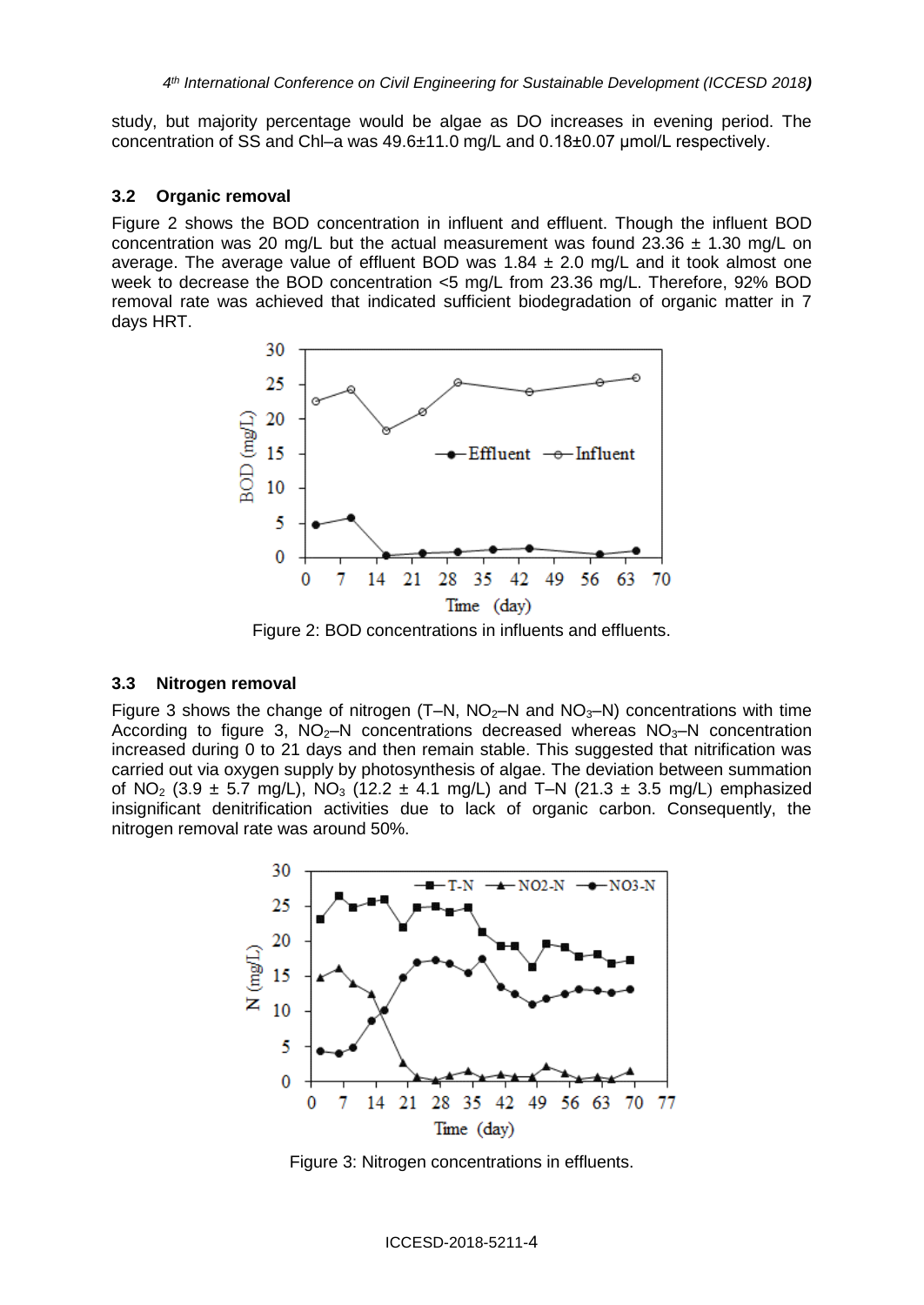study, but majority percentage would be algae as DO increases in evening period. The concentration of SS and Chl–a was 49.6±11.0 mg/L and 0.18±0.07 μmol/L respectively.

#### **3.2 Organic removal**

Figure 2 shows the BOD concentration in influent and effluent. Though the influent BOD concentration was 20 mg/L but the actual measurement was found  $23.36 \pm 1.30$  mg/L on average. The average value of effluent BOD was  $1.84 \pm 2.0$  mg/L and it took almost one week to decrease the BOD concentration <5 mg/L from 23.36 mg/L. Therefore, 92% BOD removal rate was achieved that indicated sufficient biodegradation of organic matter in 7 days HRT.



Figure 2: BOD concentrations in influents and effluents.

#### **3.3 Nitrogen removal**

Figure 3 shows the change of nitrogen  $(T-N, NO<sub>2</sub>-N$  and  $NO<sub>3</sub>-N)$  concentrations with time According to figure 3,  $NO<sub>2</sub>–N$  concentrations decreased whereas  $NO<sub>3</sub>–N$  concentration increased during 0 to 21 days and then remain stable. This suggested that nitrification was carried out via oxygen supply by photosynthesis of algae. The deviation between summation of NO<sub>2</sub> (3.9  $\pm$  5.7 mg/L), NO<sub>3</sub> (12.2  $\pm$  4.1 mg/L) and T–N (21.3  $\pm$  3.5 mg/L) emphasized insignificant denitrification activities due to lack of organic carbon. Consequently, the nitrogen removal rate was around 50%.



Figure 3: Nitrogen concentrations in effluents.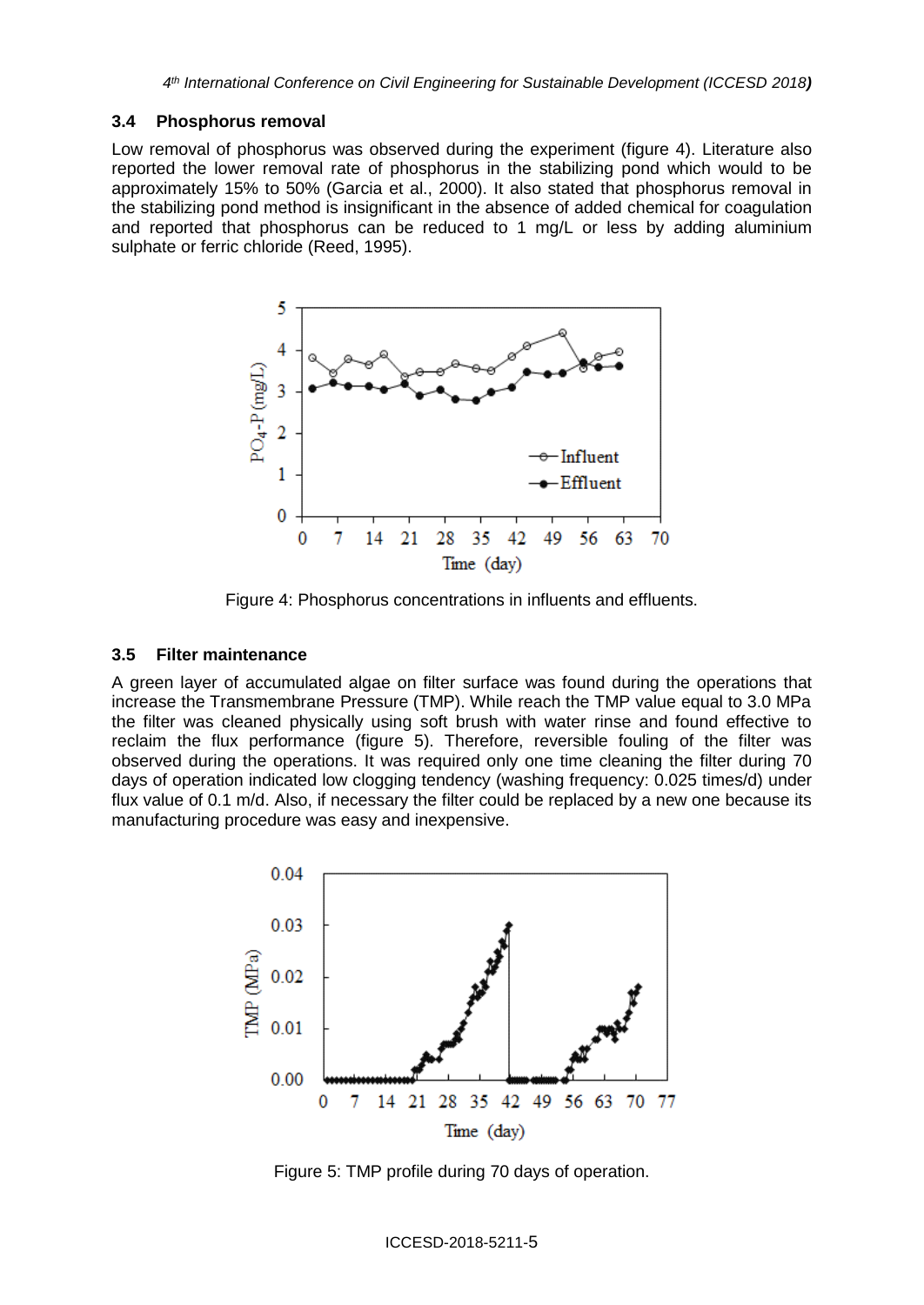#### **3.4 Phosphorus removal**

Low removal of phosphorus was observed during the experiment (figure 4). Literature also reported the lower removal rate of phosphorus in the stabilizing pond which would to be approximately 15% to 50% (Garcia et al., 2000). It also stated that phosphorus removal in the stabilizing pond method is insignificant in the absence of added chemical for coagulation and reported that phosphorus can be reduced to 1 mg/L or less by adding aluminium sulphate or ferric chloride (Reed, 1995).



Figure 4: Phosphorus concentrations in influents and effluents.

#### **3.5 Filter maintenance**

A green layer of accumulated algae on filter surface was found during the operations that increase the Transmembrane Pressure (TMP). While reach the TMP value equal to 3.0 MPa the filter was cleaned physically using soft brush with water rinse and found effective to reclaim the flux performance (figure 5). Therefore, reversible fouling of the filter was observed during the operations. It was required only one time cleaning the filter during 70 days of operation indicated low clogging tendency (washing frequency: 0.025 times/d) under flux value of 0.1 m/d. Also, if necessary the filter could be replaced by a new one because its manufacturing procedure was easy and inexpensive.



Figure 5: TMP profile during 70 days of operation.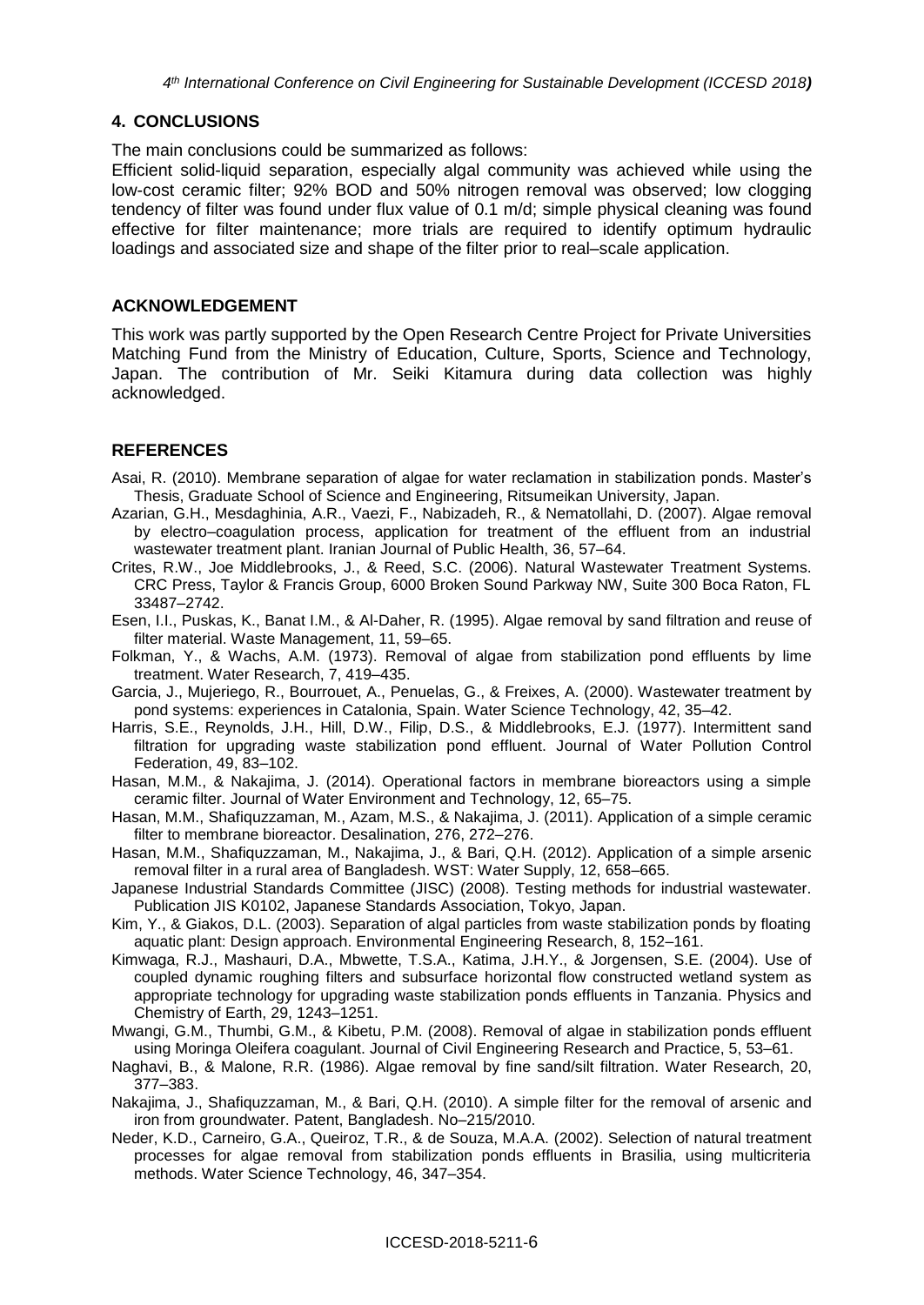### **4. CONCLUSIONS**

The main conclusions could be summarized as follows:

Efficient solid-liquid separation, especially algal community was achieved while using the low-cost ceramic filter; 92% BOD and 50% nitrogen removal was observed; low clogging tendency of filter was found under flux value of 0.1 m/d; simple physical cleaning was found effective for filter maintenance; more trials are required to identify optimum hydraulic loadings and associated size and shape of the filter prior to real–scale application.

#### **ACKNOWLEDGEMENT**

This work was partly supported by the Open Research Centre Project for Private Universities Matching Fund from the Ministry of Education, Culture, Sports, Science and Technology, Japan. The contribution of Mr. Seiki Kitamura during data collection was highly acknowledged.

## **REFERENCES**

- Asai, R. (2010). Membrane separation of algae for water reclamation in stabilization ponds. Master's Thesis, Graduate School of Science and Engineering, Ritsumeikan University, Japan.
- Azarian, G.H., Mesdaghinia, A.R., Vaezi, F., Nabizadeh, R., & Nematollahi, D. (2007). Algae removal by electro–coagulation process, application for treatment of the effluent from an industrial wastewater treatment plant. Iranian Journal of Public Health, 36, 57–64.
- Crites, R.W., Joe Middlebrooks, J., & Reed, S.C. (2006). Natural Wastewater Treatment Systems. CRC Press, Taylor & Francis Group, 6000 Broken Sound Parkway NW, Suite 300 Boca Raton, FL 33487–2742.
- Esen, I.I., Puskas, K., Banat I.M., & Al-Daher, R. (1995). Algae removal by sand filtration and reuse of filter material. Waste Management, 11, 59–65.
- Folkman, Y., & Wachs, A.M. (1973). Removal of algae from stabilization pond effluents by lime treatment. Water Research, 7, 419–435.
- Garcia, J., Mujeriego, R., Bourrouet, A., Penuelas, G., & Freixes, A. (2000). Wastewater treatment by pond systems: experiences in Catalonia, Spain. Water Science Technology, 42, 35–42.
- Harris, S.E., Reynolds, J.H., Hill, D.W., Filip, D.S., & Middlebrooks, E.J. (1977). Intermittent sand filtration for upgrading waste stabilization pond effluent. Journal of Water Pollution Control Federation, 49, 83–102.
- Hasan, M.M., & Nakajima, J. (2014). Operational factors in membrane bioreactors using a simple ceramic filter. Journal of Water Environment and Technology, 12, 65–75.
- Hasan, M.M., Shafiquzzaman, M., Azam, M.S., & Nakajima, J. (2011). Application of a simple ceramic filter to membrane bioreactor. Desalination, 276, 272–276.
- Hasan, M.M., Shafiquzzaman, M., Nakajima, J., & Bari, Q.H. (2012). Application of a simple arsenic removal filter in a rural area of Bangladesh. WST: Water Supply, 12, 658–665.
- Japanese Industrial Standards Committee (JISC) (2008). Testing methods for industrial wastewater. Publication JIS K0102, Japanese Standards Association, Tokyo, Japan.
- Kim, Y., & Giakos, D.L. (2003). Separation of algal particles from waste stabilization ponds by floating aquatic plant: Design approach. Environmental Engineering Research, 8, 152–161.
- Kimwaga, R.J., Mashauri, D.A., Mbwette, T.S.A., Katima, J.H.Y., & Jorgensen, S.E. (2004). Use of coupled dynamic roughing filters and subsurface horizontal flow constructed wetland system as appropriate technology for upgrading waste stabilization ponds effluents in Tanzania. Physics and Chemistry of Earth, 29, 1243–1251.
- Mwangi, G.M., Thumbi, G.M., & Kibetu, P.M. (2008). Removal of algae in stabilization ponds effluent using Moringa Oleifera coagulant. Journal of Civil Engineering Research and Practice, 5, 53–61.
- Naghavi, B., & Malone, R.R. (1986). Algae removal by fine sand/silt filtration. Water Research, 20, 377–383.
- Nakajima, J., Shafiquzzaman, M., & Bari, Q.H. (2010). A simple filter for the removal of arsenic and iron from groundwater. Patent, Bangladesh. No–215/2010.
- Neder, K.D., Carneiro, G.A., Queiroz, T.R., & de Souza, M.A.A. (2002). Selection of natural treatment processes for algae removal from stabilization ponds effluents in Brasilia, using multicriteria methods. Water Science Technology, 46, 347–354.